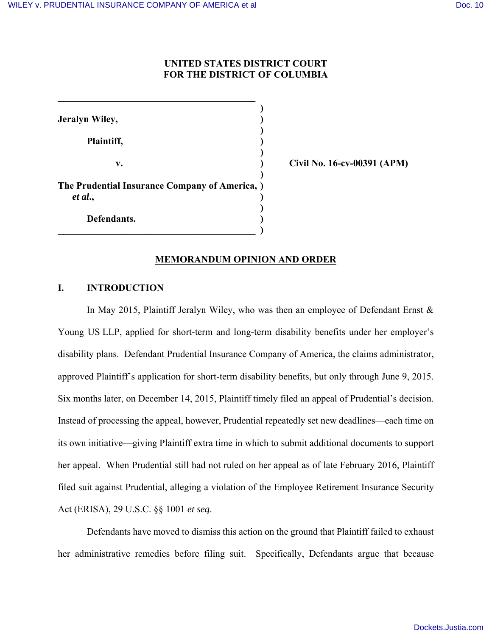# **UNITED STATES DISTRICT COURT FOR THE DISTRICT OF COLUMBIA**

 **) Jeralyn Wiley, ) ) Plaintiff, ) ) v. ) Civil No. 16-cv-00391 (APM) ) The Prudential Insurance Company of America, )**  *et al***., ) ) Defendants. )**

 $\overline{\phantom{a}}$  , and the set of the set of the set of the set of the set of the set of the set of the set of the set of the set of the set of the set of the set of the set of the set of the set of the set of the set of the s

**\_\_\_\_\_\_\_\_\_\_\_\_\_\_\_\_\_\_\_\_\_\_\_\_\_\_\_\_\_\_\_\_\_\_\_\_\_\_\_\_\_** 

## **MEMORANDUM OPINION AND ORDER**

# **I. INTRODUCTION**

In May 2015, Plaintiff Jeralyn Wiley, who was then an employee of Defendant Ernst  $\&$ Young US LLP, applied for short-term and long-term disability benefits under her employer's disability plans. Defendant Prudential Insurance Company of America, the claims administrator, approved Plaintiff's application for short-term disability benefits, but only through June 9, 2015. Six months later, on December 14, 2015, Plaintiff timely filed an appeal of Prudential's decision. Instead of processing the appeal, however, Prudential repeatedly set new deadlines—each time on its own initiative—giving Plaintiff extra time in which to submit additional documents to support her appeal. When Prudential still had not ruled on her appeal as of late February 2016, Plaintiff filed suit against Prudential, alleging a violation of the Employee Retirement Insurance Security Act (ERISA), 29 U.S.C. §§ 1001 *et seq*.

Defendants have moved to dismiss this action on the ground that Plaintiff failed to exhaust her administrative remedies before filing suit. Specifically, Defendants argue that because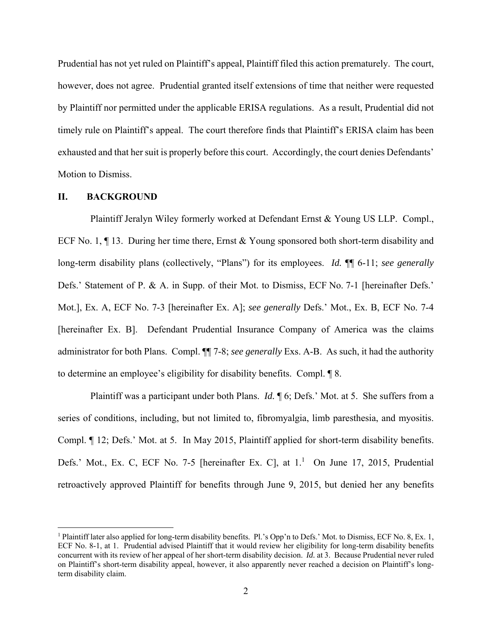Prudential has not yet ruled on Plaintiff's appeal, Plaintiff filed this action prematurely. The court, however, does not agree. Prudential granted itself extensions of time that neither were requested by Plaintiff nor permitted under the applicable ERISA regulations. As a result, Prudential did not timely rule on Plaintiff's appeal. The court therefore finds that Plaintiff's ERISA claim has been exhausted and that her suit is properly before this court. Accordingly, the court denies Defendants' Motion to Dismiss.

#### **II. BACKGROUND**

Plaintiff Jeralyn Wiley formerly worked at Defendant Ernst & Young US LLP. Compl., ECF No. 1, ¶ 13. During her time there, Ernst & Young sponsored both short-term disability and long-term disability plans (collectively, "Plans") for its employees. *Id.* ¶¶ 6-11; *see generally*  Defs.' Statement of P. & A. in Supp. of their Mot. to Dismiss, ECF No. 7-1 [hereinafter Defs.' Mot.], Ex. A, ECF No. 7-3 [hereinafter Ex. A]; *see generally* Defs.' Mot., Ex. B, ECF No. 7-4 [hereinafter Ex. B]. Defendant Prudential Insurance Company of America was the claims administrator for both Plans. Compl. ¶¶ 7-8; *see generally* Exs. A-B. As such, it had the authority to determine an employee's eligibility for disability benefits. Compl. ¶ 8.

Plaintiff was a participant under both Plans. *Id.* ¶ 6; Defs.' Mot. at 5. She suffers from a series of conditions, including, but not limited to, fibromyalgia, limb paresthesia, and myositis. Compl. ¶ 12; Defs.' Mot. at 5. In May 2015, Plaintiff applied for short-term disability benefits. Defs.' Mot., Ex. C, ECF No. 7-5 [hereinafter Ex. C], at  $1<sup>1</sup>$  On June 17, 2015, Prudential retroactively approved Plaintiff for benefits through June 9, 2015, but denied her any benefits

<sup>&</sup>lt;sup>1</sup> Plaintiff later also applied for long-term disability benefits. Pl.'s Opp'n to Defs.' Mot. to Dismiss, ECF No. 8, Ex. 1, ECF No. 8-1, at 1. Prudential advised Plaintiff that it would review her eligibility for long-term disability benefits concurrent with its review of her appeal of her short-term disability decision. *Id.* at 3. Because Prudential never ruled on Plaintiff's short-term disability appeal, however, it also apparently never reached a decision on Plaintiff's longterm disability claim.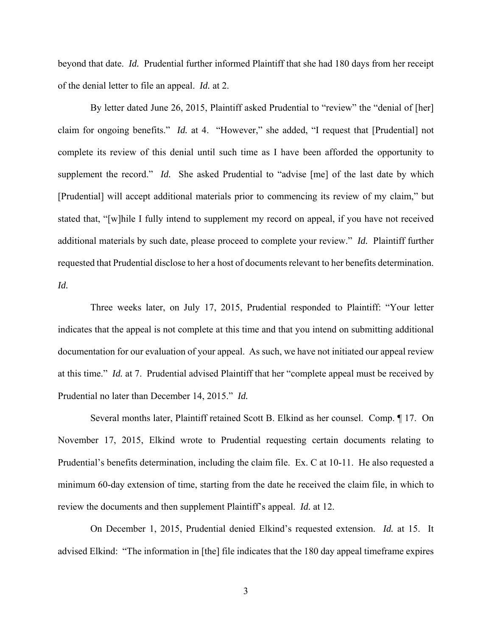beyond that date. *Id.* Prudential further informed Plaintiff that she had 180 days from her receipt of the denial letter to file an appeal. *Id.* at 2.

By letter dated June 26, 2015, Plaintiff asked Prudential to "review" the "denial of [her] claim for ongoing benefits." *Id.* at 4. "However," she added, "I request that [Prudential] not complete its review of this denial until such time as I have been afforded the opportunity to supplement the record." *Id.* She asked Prudential to "advise [me] of the last date by which [Prudential] will accept additional materials prior to commencing its review of my claim," but stated that, "[w]hile I fully intend to supplement my record on appeal, if you have not received additional materials by such date, please proceed to complete your review." *Id.* Plaintiff further requested that Prudential disclose to her a host of documents relevant to her benefits determination. *Id.* 

Three weeks later, on July 17, 2015, Prudential responded to Plaintiff: "Your letter indicates that the appeal is not complete at this time and that you intend on submitting additional documentation for our evaluation of your appeal. As such, we have not initiated our appeal review at this time." *Id.* at 7. Prudential advised Plaintiff that her "complete appeal must be received by Prudential no later than December 14, 2015." *Id.* 

Several months later, Plaintiff retained Scott B. Elkind as her counsel. Comp. ¶ 17. On November 17, 2015, Elkind wrote to Prudential requesting certain documents relating to Prudential's benefits determination, including the claim file. Ex. C at 10-11. He also requested a minimum 60-day extension of time, starting from the date he received the claim file, in which to review the documents and then supplement Plaintiff's appeal. *Id.* at 12.

On December 1, 2015, Prudential denied Elkind's requested extension. *Id.* at 15. It advised Elkind: "The information in [the] file indicates that the 180 day appeal timeframe expires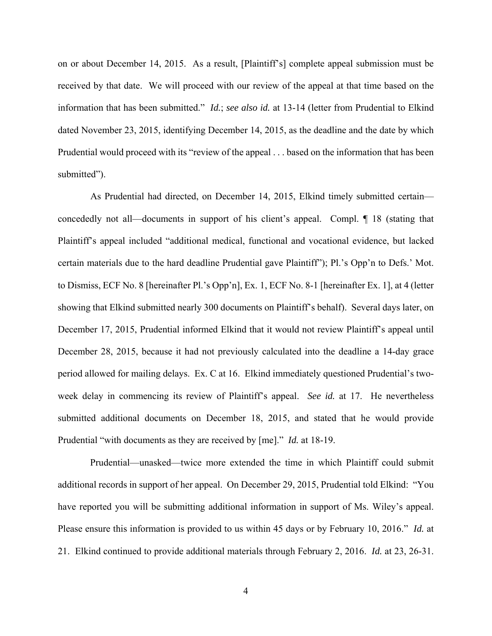on or about December 14, 2015. As a result, [Plaintiff's] complete appeal submission must be received by that date. We will proceed with our review of the appeal at that time based on the information that has been submitted." *Id.*; *see also id.* at 13-14 (letter from Prudential to Elkind dated November 23, 2015, identifying December 14, 2015, as the deadline and the date by which Prudential would proceed with its "review of the appeal . . . based on the information that has been submitted").

As Prudential had directed, on December 14, 2015, Elkind timely submitted certain concededly not all—documents in support of his client's appeal. Compl. ¶ 18 (stating that Plaintiff's appeal included "additional medical, functional and vocational evidence, but lacked certain materials due to the hard deadline Prudential gave Plaintiff"); Pl.'s Opp'n to Defs.' Mot. to Dismiss, ECF No. 8 [hereinafter Pl.'s Opp'n], Ex. 1, ECF No. 8-1 [hereinafter Ex. 1], at 4 (letter showing that Elkind submitted nearly 300 documents on Plaintiff's behalf). Several days later, on December 17, 2015, Prudential informed Elkind that it would not review Plaintiff's appeal until December 28, 2015, because it had not previously calculated into the deadline a 14-day grace period allowed for mailing delays. Ex. C at 16. Elkind immediately questioned Prudential's twoweek delay in commencing its review of Plaintiff's appeal. *See id.* at 17. He nevertheless submitted additional documents on December 18, 2015, and stated that he would provide Prudential "with documents as they are received by [me]." *Id.* at 18-19.

Prudential—unasked—twice more extended the time in which Plaintiff could submit additional records in support of her appeal. On December 29, 2015, Prudential told Elkind: "You have reported you will be submitting additional information in support of Ms. Wiley's appeal. Please ensure this information is provided to us within 45 days or by February 10, 2016." *Id.* at 21. Elkind continued to provide additional materials through February 2, 2016. *Id.* at 23, 26-31.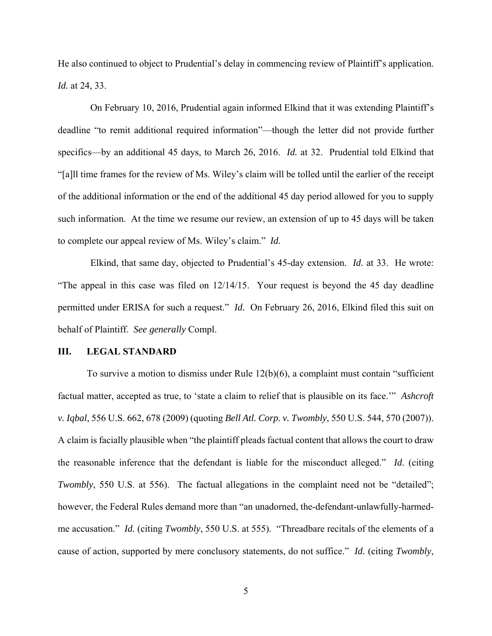He also continued to object to Prudential's delay in commencing review of Plaintiff's application. *Id.* at 24, 33.

On February 10, 2016, Prudential again informed Elkind that it was extending Plaintiff's deadline "to remit additional required information"—though the letter did not provide further specifics—by an additional 45 days, to March 26, 2016. *Id.* at 32. Prudential told Elkind that "[a]ll time frames for the review of Ms. Wiley's claim will be tolled until the earlier of the receipt of the additional information or the end of the additional 45 day period allowed for you to supply such information. At the time we resume our review, an extension of up to 45 days will be taken to complete our appeal review of Ms. Wiley's claim." *Id.* 

Elkind, that same day, objected to Prudential's 45-day extension. *Id.* at 33. He wrote: "The appeal in this case was filed on 12/14/15. Your request is beyond the 45 day deadline permitted under ERISA for such a request." *Id.* On February 26, 2016, Elkind filed this suit on behalf of Plaintiff. *See generally* Compl.

## **III. LEGAL STANDARD**

To survive a motion to dismiss under Rule 12(b)(6), a complaint must contain "sufficient factual matter, accepted as true, to 'state a claim to relief that is plausible on its face.'" *Ashcroft v. Iqbal*, 556 U.S. 662, 678 (2009) (quoting *Bell Atl. Corp. v. Twombly*, 550 U.S. 544, 570 (2007)). A claim is facially plausible when "the plaintiff pleads factual content that allows the court to draw the reasonable inference that the defendant is liable for the misconduct alleged." *Id.* (citing *Twombly*, 550 U.S. at 556). The factual allegations in the complaint need not be "detailed"; however, the Federal Rules demand more than "an unadorned, the-defendant-unlawfully-harmedme accusation." *Id.* (citing *Twombly*, 550 U.S. at 555). "Threadbare recitals of the elements of a cause of action, supported by mere conclusory statements, do not suffice." *Id.* (citing *Twombly*,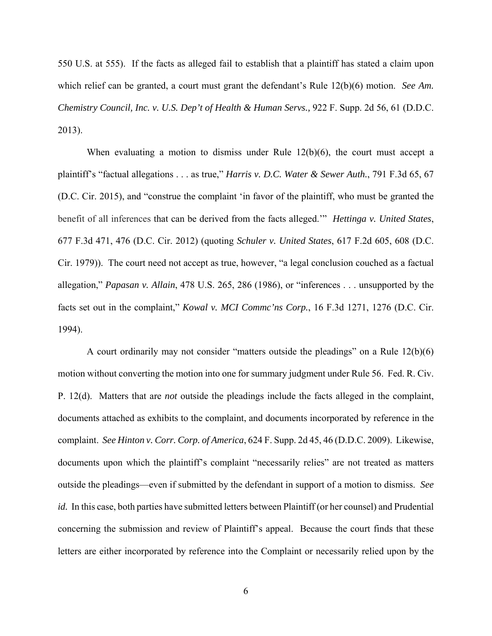550 U.S. at 555). If the facts as alleged fail to establish that a plaintiff has stated a claim upon which relief can be granted, a court must grant the defendant's Rule 12(b)(6) motion. *See Am. Chemistry Council, Inc. v. U.S. Dep't of Health & Human Servs.,* 922 F. Supp. 2d 56, 61 (D.D.C. 2013).

When evaluating a motion to dismiss under Rule  $12(b)(6)$ , the court must accept a plaintiff's "factual allegations . . . as true," *Harris v. D.C. Water & Sewer Auth.*, 791 F.3d 65, 67 (D.C. Cir. 2015), and "construe the complaint 'in favor of the plaintiff, who must be granted the benefit of all inferences that can be derived from the facts alleged.'" *Hettinga v. United States*, 677 F.3d 471, 476 (D.C. Cir. 2012) (quoting *Schuler v. United States*, 617 F.2d 605, 608 (D.C. Cir. 1979)). The court need not accept as true, however, "a legal conclusion couched as a factual allegation," *Papasan v. Allain*, 478 U.S. 265, 286 (1986), or "inferences . . . unsupported by the facts set out in the complaint," *Kowal v. MCI Commc'ns Corp.*, 16 F.3d 1271, 1276 (D.C. Cir. 1994).

A court ordinarily may not consider "matters outside the pleadings" on a Rule 12(b)(6) motion without converting the motion into one for summary judgment under Rule 56. Fed. R. Civ. P. 12(d). Matters that are *not* outside the pleadings include the facts alleged in the complaint, documents attached as exhibits to the complaint, and documents incorporated by reference in the complaint. *See Hinton v. Corr. Corp. of America*, 624 F. Supp. 2d 45, 46 (D.D.C. 2009). Likewise, documents upon which the plaintiff's complaint "necessarily relies" are not treated as matters outside the pleadings—even if submitted by the defendant in support of a motion to dismiss. *See id.* In this case, both parties have submitted letters between Plaintiff (or her counsel) and Prudential concerning the submission and review of Plaintiff's appeal. Because the court finds that these letters are either incorporated by reference into the Complaint or necessarily relied upon by the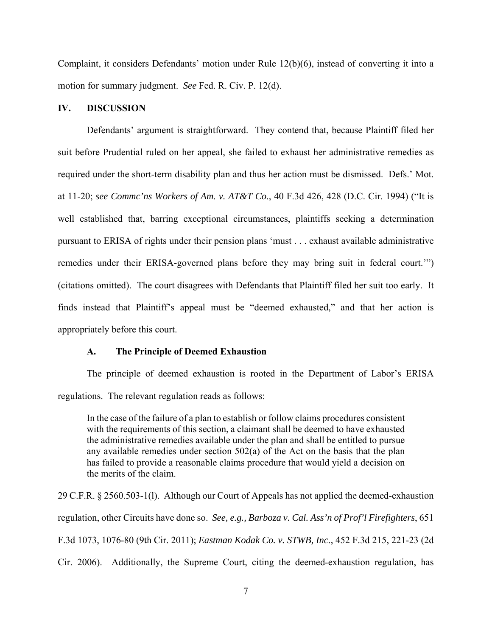Complaint, it considers Defendants' motion under Rule 12(b)(6), instead of converting it into a motion for summary judgment. *See* Fed. R. Civ. P. 12(d).

# **IV. DISCUSSION**

Defendants' argument is straightforward. They contend that, because Plaintiff filed her suit before Prudential ruled on her appeal, she failed to exhaust her administrative remedies as required under the short-term disability plan and thus her action must be dismissed. Defs.' Mot. at 11-20; *see Commc'ns Workers of Am. v. AT&T Co.*, 40 F.3d 426, 428 (D.C. Cir. 1994) ("It is well established that, barring exceptional circumstances, plaintiffs seeking a determination pursuant to ERISA of rights under their pension plans 'must . . . exhaust available administrative remedies under their ERISA-governed plans before they may bring suit in federal court.'") (citations omitted). The court disagrees with Defendants that Plaintiff filed her suit too early. It finds instead that Plaintiff's appeal must be "deemed exhausted," and that her action is appropriately before this court.

## **A. The Principle of Deemed Exhaustion**

 The principle of deemed exhaustion is rooted in the Department of Labor's ERISA regulations. The relevant regulation reads as follows:

In the case of the failure of a plan to establish or follow claims procedures consistent with the requirements of this section, a claimant shall be deemed to have exhausted the administrative remedies available under the plan and shall be entitled to pursue any available remedies under section 502(a) of the Act on the basis that the plan has failed to provide a reasonable claims procedure that would yield a decision on the merits of the claim.

29 C.F.R. § 2560.503-1(l). Although our Court of Appeals has not applied the deemed-exhaustion regulation, other Circuits have done so. *See, e.g., Barboza v. Cal. Ass'n of Prof'l Firefighters*, 651 F.3d 1073, 1076-80 (9th Cir. 2011); *Eastman Kodak Co. v. STWB, Inc.*, 452 F.3d 215, 221-23 (2d Cir. 2006). Additionally, the Supreme Court, citing the deemed-exhaustion regulation, has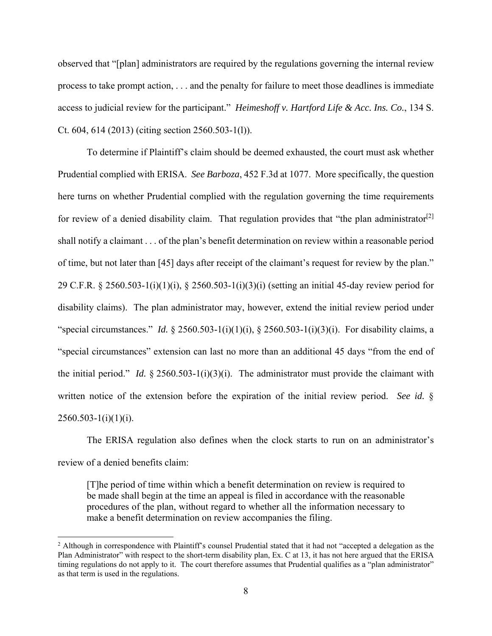observed that "[plan] administrators are required by the regulations governing the internal review process to take prompt action, . . . and the penalty for failure to meet those deadlines is immediate access to judicial review for the participant." *Heimeshoff v. Hartford Life & Acc. Ins. Co.*, 134 S. Ct. 604, 614 (2013) (citing section 2560.503-1(l)).

 To determine if Plaintiff's claim should be deemed exhausted, the court must ask whether Prudential complied with ERISA. *See Barboza*, 452 F.3d at 1077. More specifically, the question here turns on whether Prudential complied with the regulation governing the time requirements for review of a denied disability claim. That regulation provides that "the plan administrator<sup>[2]</sup> shall notify a claimant . . . of the plan's benefit determination on review within a reasonable period of time, but not later than [45] days after receipt of the claimant's request for review by the plan." 29 C.F.R. § 2560.503-1(i)(1)(i), § 2560.503-1(i)(3)(i) (setting an initial 45-day review period for disability claims). The plan administrator may, however, extend the initial review period under "special circumstances." *Id.* § 2560.503-1(i)(1)(i), § 2560.503-1(i)(3)(i). For disability claims, a "special circumstances" extension can last no more than an additional 45 days "from the end of the initial period." *Id.* § 2560.503-1(i)(3)(i). The administrator must provide the claimant with written notice of the extension before the expiration of the initial review period. *See id.* §  $2560.503 - 1(i)(1)(i)$ .

 The ERISA regulation also defines when the clock starts to run on an administrator's review of a denied benefits claim:

[T]he period of time within which a benefit determination on review is required to be made shall begin at the time an appeal is filed in accordance with the reasonable procedures of the plan, without regard to whether all the information necessary to make a benefit determination on review accompanies the filing.

<sup>&</sup>lt;sup>2</sup> Although in correspondence with Plaintiff's counsel Prudential stated that it had not "accepted a delegation as the Plan Administrator" with respect to the short-term disability plan, Ex. C at 13, it has not here argued that the ERISA timing regulations do not apply to it. The court therefore assumes that Prudential qualifies as a "plan administrator" as that term is used in the regulations.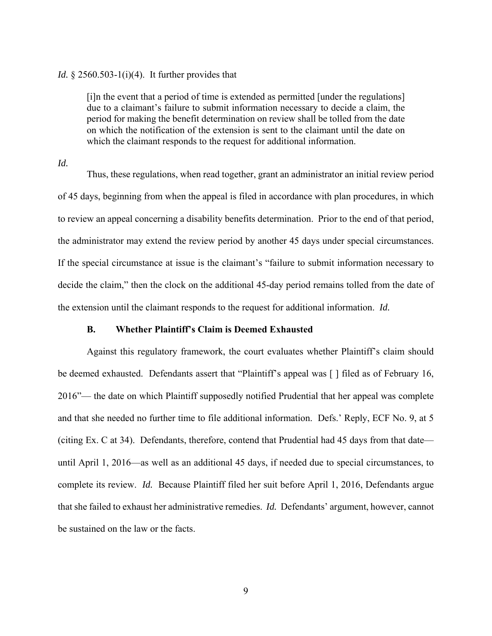#### *Id.* § 2560.503-1(i)(4). It further provides that

[i]n the event that a period of time is extended as permitted [under the regulations] due to a claimant's failure to submit information necessary to decide a claim, the period for making the benefit determination on review shall be tolled from the date on which the notification of the extension is sent to the claimant until the date on which the claimant responds to the request for additional information.

*Id.* 

Thus, these regulations, when read together, grant an administrator an initial review period of 45 days, beginning from when the appeal is filed in accordance with plan procedures, in which to review an appeal concerning a disability benefits determination. Prior to the end of that period, the administrator may extend the review period by another 45 days under special circumstances. If the special circumstance at issue is the claimant's "failure to submit information necessary to decide the claim," then the clock on the additional 45-day period remains tolled from the date of the extension until the claimant responds to the request for additional information. *Id.*

## **B. Whether Plaintiff's Claim is Deemed Exhausted**

Against this regulatory framework, the court evaluates whether Plaintiff's claim should be deemed exhausted. Defendants assert that "Plaintiff's appeal was [ ] filed as of February 16, 2016"— the date on which Plaintiff supposedly notified Prudential that her appeal was complete and that she needed no further time to file additional information. Defs.' Reply, ECF No. 9, at 5 (citing Ex. C at 34). Defendants, therefore, contend that Prudential had 45 days from that date until April 1, 2016—as well as an additional 45 days, if needed due to special circumstances, to complete its review. *Id.* Because Plaintiff filed her suit before April 1, 2016, Defendants argue that she failed to exhaust her administrative remedies. *Id.* Defendants' argument, however, cannot be sustained on the law or the facts.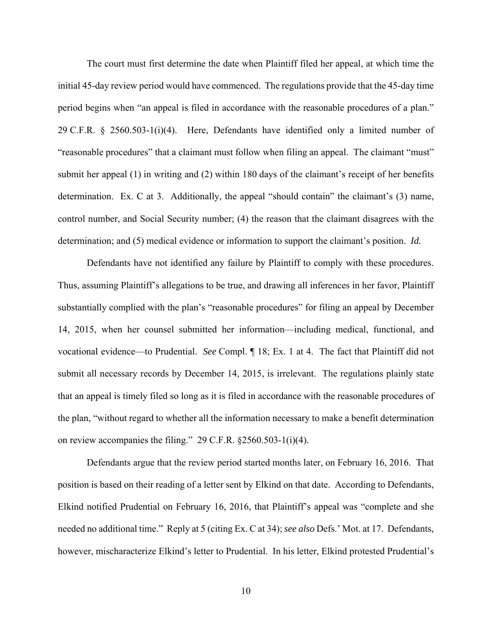The court must first determine the date when Plaintiff filed her appeal, at which time the initial 45-day review period would have commenced. The regulations provide that the 45-day time period begins when "an appeal is filed in accordance with the reasonable procedures of a plan." 29 C.F.R. § 2560.503-1(i)(4). Here, Defendants have identified only a limited number of "reasonable procedures" that a claimant must follow when filing an appeal. The claimant "must" submit her appeal (1) in writing and (2) within 180 days of the claimant's receipt of her benefits determination. Ex. C at 3. Additionally, the appeal "should contain" the claimant's (3) name, control number, and Social Security number; (4) the reason that the claimant disagrees with the determination; and (5) medical evidence or information to support the claimant's position. *Id.*

Defendants have not identified any failure by Plaintiff to comply with these procedures. Thus, assuming Plaintiff's allegations to be true, and drawing all inferences in her favor, Plaintiff substantially complied with the plan's "reasonable procedures" for filing an appeal by December 14, 2015, when her counsel submitted her information—including medical, functional, and vocational evidence—to Prudential. *See* Compl. ¶ 18; Ex. 1 at 4. The fact that Plaintiff did not submit all necessary records by December 14, 2015, is irrelevant. The regulations plainly state that an appeal is timely filed so long as it is filed in accordance with the reasonable procedures of the plan, "without regard to whether all the information necessary to make a benefit determination on review accompanies the filing." 29 C.F.R. §2560.503-1(i)(4).

Defendants argue that the review period started months later, on February 16, 2016. That position is based on their reading of a letter sent by Elkind on that date. According to Defendants, Elkind notified Prudential on February 16, 2016, that Plaintiff's appeal was "complete and she needed no additional time." Reply at 5 (citing Ex. C at 34); *see also* Defs.' Mot. at 17. Defendants, however, mischaracterize Elkind's letter to Prudential. In his letter, Elkind protested Prudential's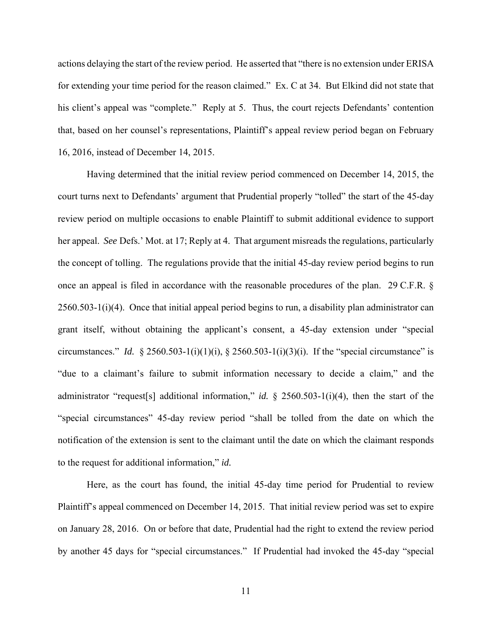actions delaying the start of the review period. He asserted that "there is no extension under ERISA for extending your time period for the reason claimed." Ex. C at 34. But Elkind did not state that his client's appeal was "complete." Reply at 5. Thus, the court rejects Defendants' contention that, based on her counsel's representations, Plaintiff's appeal review period began on February 16, 2016, instead of December 14, 2015.

Having determined that the initial review period commenced on December 14, 2015, the court turns next to Defendants' argument that Prudential properly "tolled" the start of the 45-day review period on multiple occasions to enable Plaintiff to submit additional evidence to support her appeal. *See* Defs.' Mot. at 17; Reply at 4. That argument misreads the regulations, particularly the concept of tolling. The regulations provide that the initial 45-day review period begins to run once an appeal is filed in accordance with the reasonable procedures of the plan. 29 C.F.R. § 2560.503-1(i)(4). Once that initial appeal period begins to run, a disability plan administrator can grant itself, without obtaining the applicant's consent, a 45-day extension under "special circumstances." *Id.* § 2560.503-1(i)(1)(i), § 2560.503-1(i)(3)(i). If the "special circumstance" is "due to a claimant's failure to submit information necessary to decide a claim," and the administrator "request[s] additional information," *id.* § 2560.503-1(i)(4), then the start of the "special circumstances" 45-day review period "shall be tolled from the date on which the notification of the extension is sent to the claimant until the date on which the claimant responds to the request for additional information," *id.* 

Here, as the court has found, the initial 45-day time period for Prudential to review Plaintiff's appeal commenced on December 14, 2015. That initial review period was set to expire on January 28, 2016. On or before that date, Prudential had the right to extend the review period by another 45 days for "special circumstances." If Prudential had invoked the 45-day "special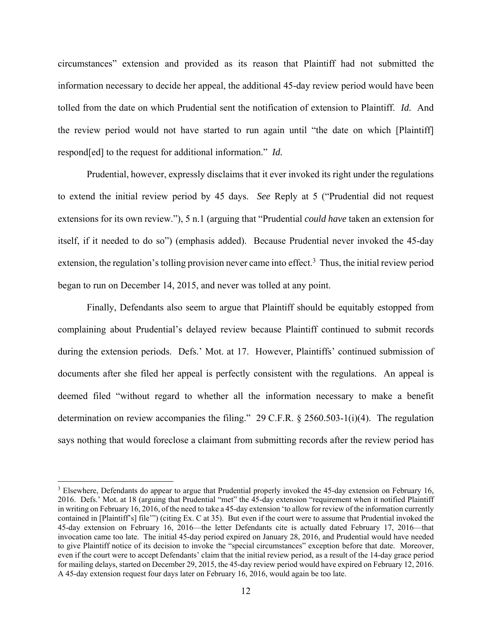circumstances" extension and provided as its reason that Plaintiff had not submitted the information necessary to decide her appeal, the additional 45-day review period would have been tolled from the date on which Prudential sent the notification of extension to Plaintiff. *Id.* And the review period would not have started to run again until "the date on which [Plaintiff] respond[ed] to the request for additional information." *Id.* 

Prudential, however, expressly disclaims that it ever invoked its right under the regulations to extend the initial review period by 45 days. *See* Reply at 5 ("Prudential did not request extensions for its own review."), 5 n.1 (arguing that "Prudential *could have* taken an extension for itself, if it needed to do so") (emphasis added). Because Prudential never invoked the 45-day extension, the regulation's tolling provision never came into effect.<sup>3</sup> Thus, the initial review period began to run on December 14, 2015, and never was tolled at any point.

Finally, Defendants also seem to argue that Plaintiff should be equitably estopped from complaining about Prudential's delayed review because Plaintiff continued to submit records during the extension periods. Defs.' Mot. at 17. However, Plaintiffs' continued submission of documents after she filed her appeal is perfectly consistent with the regulations. An appeal is deemed filed "without regard to whether all the information necessary to make a benefit determination on review accompanies the filing." 29 C.F.R. § 2560.503-1(i)(4). The regulation says nothing that would foreclose a claimant from submitting records after the review period has

<sup>&</sup>lt;sup>3</sup> Elsewhere, Defendants do appear to argue that Prudential properly invoked the 45-day extension on February 16, 2016. Defs.' Mot. at 18 (arguing that Prudential "met" the 45-day extension "requirement when it notified Plaintiff in writing on February 16, 2016, of the need to take a 45-day extension 'to allow for review of the information currently contained in [Plaintiff's] file'") (citing Ex. C at 35). But even if the court were to assume that Prudential invoked the 45-day extension on February 16, 2016—the letter Defendants cite is actually dated February 17, 2016—that invocation came too late. The initial 45-day period expired on January 28, 2016, and Prudential would have needed to give Plaintiff notice of its decision to invoke the "special circumstances" exception before that date. Moreover, even if the court were to accept Defendants' claim that the initial review period, as a result of the 14-day grace period for mailing delays, started on December 29, 2015, the 45-day review period would have expired on February 12, 2016. A 45-day extension request four days later on February 16, 2016, would again be too late.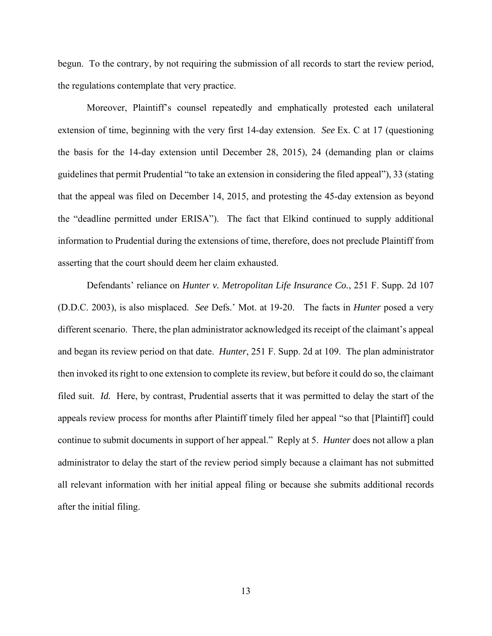begun. To the contrary, by not requiring the submission of all records to start the review period, the regulations contemplate that very practice.

Moreover, Plaintiff's counsel repeatedly and emphatically protested each unilateral extension of time, beginning with the very first 14-day extension. *See* Ex. C at 17 (questioning the basis for the 14-day extension until December 28, 2015), 24 (demanding plan or claims guidelines that permit Prudential "to take an extension in considering the filed appeal"), 33 (stating that the appeal was filed on December 14, 2015, and protesting the 45-day extension as beyond the "deadline permitted under ERISA"). The fact that Elkind continued to supply additional information to Prudential during the extensions of time, therefore, does not preclude Plaintiff from asserting that the court should deem her claim exhausted.

Defendants' reliance on *Hunter v. Metropolitan Life Insurance Co.*, 251 F. Supp. 2d 107 (D.D.C. 2003), is also misplaced. *See* Defs.' Mot. at 19-20. The facts in *Hunter* posed a very different scenario. There, the plan administrator acknowledged its receipt of the claimant's appeal and began its review period on that date. *Hunter*, 251 F. Supp. 2d at 109. The plan administrator then invoked its right to one extension to complete its review, but before it could do so, the claimant filed suit. *Id.* Here, by contrast, Prudential asserts that it was permitted to delay the start of the appeals review process for months after Plaintiff timely filed her appeal "so that [Plaintiff] could continue to submit documents in support of her appeal." Reply at 5. *Hunter* does not allow a plan administrator to delay the start of the review period simply because a claimant has not submitted all relevant information with her initial appeal filing or because she submits additional records after the initial filing.